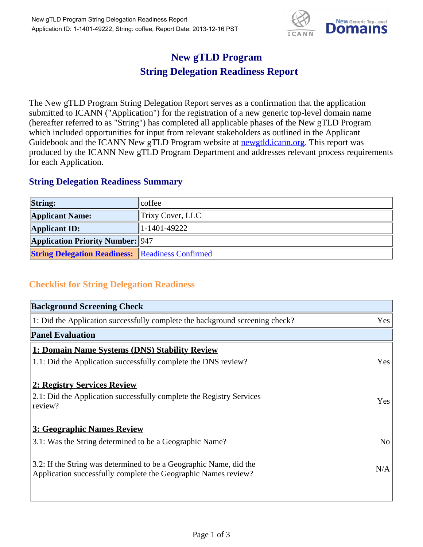

## **New gTLD Program String Delegation Readiness Report**

The New gTLD Program String Delegation Report serves as a confirmation that the application submitted to ICANN ("Application") for the registration of a new generic top-level domain name (hereafter referred to as "String") has completed all applicable phases of the New gTLD Program which included opportunities for input from relevant stakeholders as outlined in the Applicant Guidebook and the ICANN New gTLD Program website at **newgtld.jcann.org**. This report was produced by the ICANN New gTLD Program Department and addresses relevant process requirements for each Application.

## **String Delegation Readiness Summary**

| <b>String:</b>                                          | $ $ coffee       |
|---------------------------------------------------------|------------------|
| <b>Applicant Name:</b>                                  | Trixy Cover, LLC |
| <b>Applicant ID:</b>                                    | 1-1401-49222     |
| <b>Application Priority Number: 947</b>                 |                  |
| <b>String Delegation Readiness:</b> Readiness Confirmed |                  |

## **Checklist for String Delegation Readiness**

| <b>Background Screening Check</b>                                                                                                    |                |
|--------------------------------------------------------------------------------------------------------------------------------------|----------------|
| 1: Did the Application successfully complete the background screening check?                                                         | Yes            |
| <b>Panel Evaluation</b>                                                                                                              |                |
| 1: Domain Name Systems (DNS) Stability Review                                                                                        |                |
| 1.1: Did the Application successfully complete the DNS review?                                                                       | Yes            |
| 2: Registry Services Review                                                                                                          |                |
| 2.1: Did the Application successfully complete the Registry Services<br>review?                                                      | Yes            |
| 3: Geographic Names Review                                                                                                           |                |
| 3.1: Was the String determined to be a Geographic Name?                                                                              | N <sub>o</sub> |
| 3.2: If the String was determined to be a Geographic Name, did the<br>Application successfully complete the Geographic Names review? | N/A            |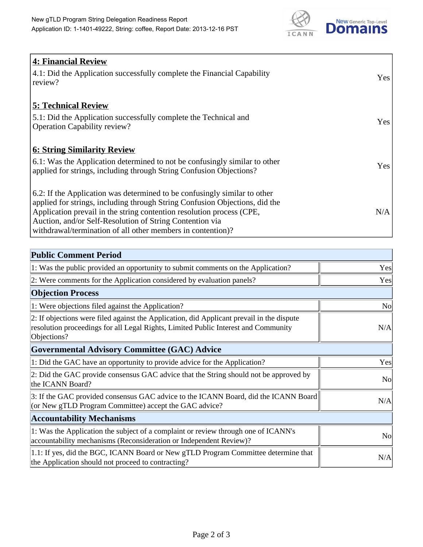

| <b>4: Financial Review</b><br>4.1: Did the Application successfully complete the Financial Capability<br>review?                                                                                                                                                                                                                                             | Yes |
|--------------------------------------------------------------------------------------------------------------------------------------------------------------------------------------------------------------------------------------------------------------------------------------------------------------------------------------------------------------|-----|
| <b>5: Technical Review</b><br>5.1: Did the Application successfully complete the Technical and<br><b>Operation Capability review?</b>                                                                                                                                                                                                                        | Yes |
| <b>6: String Similarity Review</b><br>$\vert$ 6.1: Was the Application determined to not be confusingly similar to other<br>applied for strings, including through String Confusion Objections?                                                                                                                                                              | Yes |
| 6.2: If the Application was determined to be confusingly similar to other<br>applied for strings, including through String Confusion Objections, did the<br>Application prevail in the string contention resolution process (CPE,<br>Auction, and/or Self-Resolution of String Contention via<br>withdrawal/termination of all other members in contention)? | N/A |

| <b>Public Comment Period</b>                                                                                                                                                                   |                |
|------------------------------------------------------------------------------------------------------------------------------------------------------------------------------------------------|----------------|
| 1: Was the public provided an opportunity to submit comments on the Application?                                                                                                               | Yes            |
| 2: Were comments for the Application considered by evaluation panels?                                                                                                                          | Yes            |
| <b>Objection Process</b>                                                                                                                                                                       |                |
| 1: Were objections filed against the Application?                                                                                                                                              | No             |
| 2: If objections were filed against the Application, did Applicant prevail in the dispute<br>resolution proceedings for all Legal Rights, Limited Public Interest and Community<br>Objections? | N/A            |
| <b>Governmental Advisory Committee (GAC) Advice</b>                                                                                                                                            |                |
| 1: Did the GAC have an opportunity to provide advice for the Application?                                                                                                                      | Yes            |
| 2: Did the GAC provide consensus GAC advice that the String should not be approved by<br>the ICANN Board?                                                                                      | N <sub>o</sub> |
| 3: If the GAC provided consensus GAC advice to the ICANN Board, did the ICANN Board<br>(or New gTLD Program Committee) accept the GAC advice?                                                  | N/A            |
| <b>Accountability Mechanisms</b>                                                                                                                                                               |                |
| 1: Was the Application the subject of a complaint or review through one of ICANN's<br>accountability mechanisms (Reconsideration or Independent Review)?                                       | N <sub>o</sub> |
| 1.1: If yes, did the BGC, ICANN Board or New gTLD Program Committee determine that<br>the Application should not proceed to contracting?                                                       | N/A            |